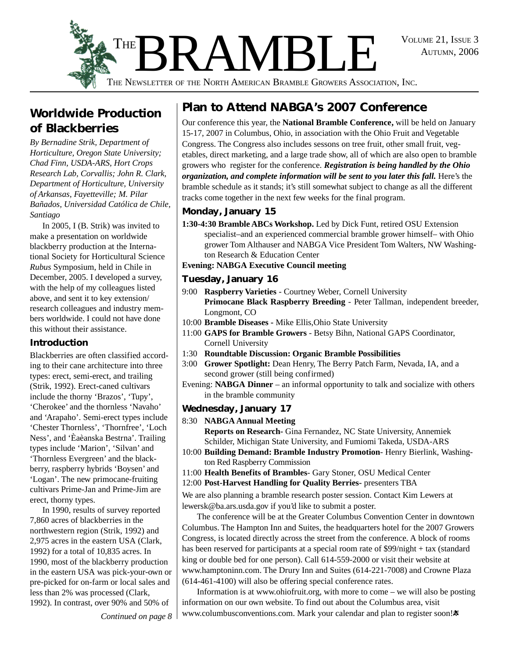AUTUMN, 2006



**Worldwide Production of Blackberries**

*By Bernadine Strik, Department of Horticulture, Oregon State University; Chad Finn, USDA-ARS, Hort Crops Research Lab, Corvallis; John R. Clark, Department of Horticulture, University of Arkansas, Fayetteville; M. Pilar Bañados, Universidad Católica de Chile, Santiago*

In 2005, I (B. Strik) was invited to make a presentation on worldwide blackberry production at the International Society for Horticultural Science *Rubus* Symposium, held in Chile in December, 2005. I developed a survey, with the help of my colleagues listed above, and sent it to key extension/ research colleagues and industry members worldwide. I could not have done this without their assistance.

#### **Introduction**

Blackberries are often classified according to their cane architecture into three types: erect, semi-erect, and trailing (Strik, 1992). Erect-caned cultivars include the thorny 'Brazos', 'Tupy', 'Cherokee' and the thornless 'Navaho' and 'Arapaho'. Semi-erect types include 'Chester Thornless', 'Thornfree', 'Loch Ness', and 'Èaèanska Bestrna'. Trailing types include 'Marion', 'Silvan' and 'Thornless Evergreen' and the blackberry, raspberry hybrids 'Boysen' and 'Logan'. The new primocane-fruiting cultivars Prime-Jan and Prime-Jim are erect, thorny types.

In 1990, results of survey reported 7,860 acres of blackberries in the northwestern region (Strik, 1992) and 2,975 acres in the eastern USA (Clark, 1992) for a total of 10,835 acres. In 1990, most of the blackberry production in the eastern USA was pick-your-own or pre-picked for on-farm or local sales and less than 2% was processed (Clark, 1992). In contrast, over 90% and 50% of

*Continued on page 8*

### **Plan to Attend NABGA's 2007 Conference**

Our conference this year, the **National Bramble Conference,** will be held on January 15-17, 2007 in Columbus, Ohio, in association with the Ohio Fruit and Vegetable Congress. The Congress also includes sessons on tree fruit, other small fruit, vegetables, direct marketing, and a large trade show, all of which are also open to bramble growers who register for the conference. *Registration is being handled by the Ohio organization, and complete information will be sent to you later this fall.* Here's the bramble schedule as it stands; it's still somewhat subject to change as all the different tracks come together in the next few weeks for the final program.

#### **Monday, January 15**

**1:30-4:30 Bramble ABCs Workshop.** Led by Dick Funt, retired OSU Extension specialist–and an experienced commercial bramble grower himself– with Ohio grower Tom Althauser and NABGA Vice President Tom Walters, NW Washington Research & Education Center

#### **Evening: NABGA Executive Council meeting**

#### **Tuesday, January 16**

- 9:00 **Raspberry Varieties** Courtney Weber, Cornell University **Primocane Black Raspberry Breeding** - Peter Tallman, independent breeder, Longmont, CO
- 10:00 **Bramble Diseases -** Mike Ellis,Ohio State University
- 11:00 **GAPS for Bramble Growers**  Betsy Bihn, National GAPS Coordinator, Cornell University
- 1:30 **Roundtable Discussion: Organic Bramble Possibilities**
- 3:00 **Grower Spotlight:** Dean Henry, The Berry Patch Farm, Nevada, IA, and a second grower (still being confirmed)
- Evening: **NABGA Dinner**  an informal opportunity to talk and socialize with others in the bramble community

#### **Wednesday, January 17**

8:30 **NABGA Annual Meeting**

**Reports on Research-** Gina Fernandez, NC State University, Annemiek Schilder, Michigan State University, and Fumiomi Takeda, USDA-ARS

- 10:00 **Building Demand: Bramble Industry Promotion** Henry Bierlink, Washington Red Raspberry Commission
- 11:00 **Health Benefits of Brambles** Gary Stoner, OSU Medical Center
- 12:00 **Post-Harvest Handling for Quality Berries-** presenters TBA

We are also planning a bramble research poster session. Contact Kim Lewers at lewersk@ba.ars.usda.gov if you'd like to submit a poster.

The conference will be at the Greater Columbus Convention Center in downtown Columbus. The Hampton Inn and Suites, the headquarters hotel for the 2007 Growers Congress, is located directly across the street from the conference. A block of rooms has been reserved for participants at a special room rate of \$99/night + tax (standard king or double bed for one person). Call 614-559-2000 or visit their website at www.hamptoninn.com. The Drury Inn and Suites (614-221-7008) and Crowne Plaza (614-461-4100) will also be offering special conference rates.

Information is at www.ohiofruit.org, with more to come – we will also be posting information on our own website. To find out about the Columbus area, visit www.columbusconventions.com. Mark your calendar and plan to register soon!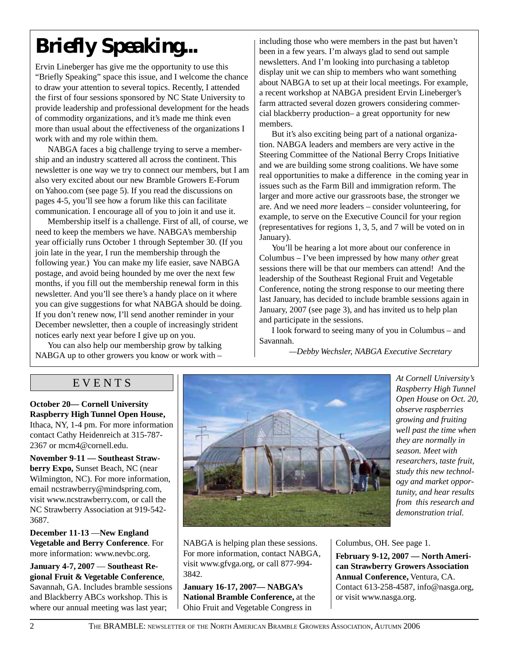# *Briefly Speaking...*

Ervin Lineberger has give me the opportunity to use this "Briefly Speaking" space this issue, and I welcome the chance to draw your attention to several topics. Recently, I attended the first of four sessions sponsored by NC State University to provide leadership and professional development for the heads of commodity organizations, and it's made me think even more than usual about the effectiveness of the organizations I work with and my role within them.

NABGA faces a big challenge trying to serve a membership and an industry scattered all across the continent. This newsletter is one way we try to connect our members, but I am also very excited about our new Bramble Growers E-Forum on Yahoo.com (see page 5). If you read the discussions on pages 4-5, you'll see how a forum like this can facilitate communication. I encourage all of you to join it and use it.

Membership itself is a challenge. First of all, of course, we need to keep the members we have. NABGA's membership year officially runs October 1 through September 30. (If you join late in the year, I run the membership through the following year.) You can make my life easier, save NABGA postage, and avoid being hounded by me over the next few months, if you fill out the membership renewal form in this newsletter. And you'll see there's a handy place on it where you can give suggestions for what NABGA should be doing. If you don't renew now, I'll send another reminder in your December newsletter, then a couple of increasingly strident notices early next year before I give up on you.

You can also help our membership grow by talking NABGA up to other growers you know or work with –

including those who were members in the past but haven't been in a few years. I'm always glad to send out sample newsletters. And I'm looking into purchasing a tabletop display unit we can ship to members who want something about NABGA to set up at their local meetings. For example, a recent workshop at NABGA president Ervin Lineberger's farm attracted several dozen growers considering commercial blackberry production– a great opportunity for new members.

But it's also exciting being part of a national organization. NABGA leaders and members are very active in the Steering Committee of the National Berry Crops Initiative and we are building some strong coalitions. We have some real opportunities to make a difference in the coming year in issues such as the Farm Bill and immigration reform. The larger and more active our grassroots base, the stronger we are. And we need *more* leaders – consider volunteering, for example, to serve on the Executive Council for your region (representatives for regions 1, 3, 5, and 7 will be voted on in January).

You'll be hearing a lot more about our conference in Columbus – I've been impressed by how many *other* great sessions there will be that our members can attend! And the leadership of the Southeast Regional Fruit and Vegetable Conference, noting the strong response to our meeting there last January, has decided to include bramble sessions again in January, 2007 (see page 3), and has invited us to help plan and participate in the sessions.

I look forward to seeing many of you in Columbus – and Savannah.

*—Debby Wechsler, NABGA Executive Secretary*

#### E V E N T S

**October 20— Cornell University Raspberry High Tunnel Open House,** Ithaca, NY, 1-4 pm. For more information contact Cathy Heidenreich at 315-787- 2367 or mcm4@cornell.edu.

**November 9-11 — Southeast Strawberry Expo,** Sunset Beach, NC (near Wilmington, NC). For more information, email ncstrawberry@mindspring.com, visit www.ncstrawberry.com, or call the NC Strawberry Association at 919-542- 3687.

**December 11-13** —**New England Vegetable and Berry Conference**. For more information: www.nevbc.org.

**January 4-7, 2007** — **Southeast Regional Fruit & Vegetable Conference**, Savannah, GA. Includes bramble sessions and Blackberry ABCs workshop. This is where our annual meeting was last year;



NABGA is helping plan these sessions. For more information, contact NABGA, visit www.gfvga.org, or call 877-994- 3842.

**January 16-17, 2007— NABGA's National Bramble Conference,** at the Ohio Fruit and Vegetable Congress in

*At Cornell University's Raspberry High Tunnel Open House on Oct. 20, observe raspberries growing and fruiting well past the time when they are normally in season. Meet with researchers, taste fruit, study this new technology and market opportunity, and hear results from this research and demonstration trial.*

Columbus, OH. See page 1.

**February 9-12, 2007 — North American Strawberry Growers Association Annual Conference,** Ventura, CA. Contact 613-258-4587, info@nasga.org, or visit www.nasga.org.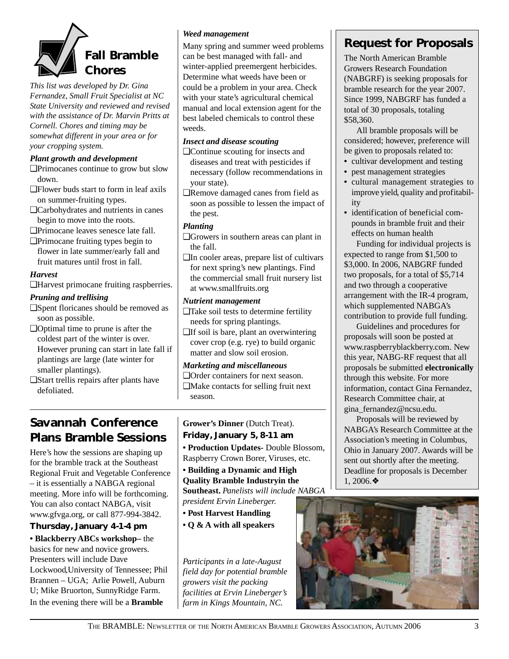

*This list was developed by Dr. Gina Fernandez, Small Fruit Specialist at NC State University and reviewed and revised with the assistance of Dr. Marvin Pritts at Cornell. Chores and timing may be somewhat different in your area or for your cropping system.*

#### *Plant growth and development*

- ❑Primocanes continue to grow but slow down.
- ❑Flower buds start to form in leaf axils on summer-fruiting types.
- ❑Carbohydrates and nutrients in canes begin to move into the roots.

❑Primocane leaves senesce late fall.

❑Primocane fruiting types begin to flower in late summer/early fall and fruit matures until frost in fall.

#### *Harvest*

❑Harvest primocane fruiting raspberries.

#### *Pruning and trellising*

- ❑Spent floricanes should be removed as soon as possible.
- ❑Optimal time to prune is after the coldest part of the winter is over. However pruning can start in late fall if plantings are large (late winter for smaller plantings).
- ❑Start trellis repairs after plants have defoliated.

#### *Weed management*

Many spring and summer weed problems can be best managed with fall- and winter-applied preemergent herbicides. Determine what weeds have been or could be a problem in your area. Check with your state's agricultural chemical manual and local extension agent for the best labeled chemicals to control these weeds.

#### *Insect and disease scouting*

- ❑Continue scouting for insects and diseases and treat with pesticides if necessary (follow recommendations in your state).
- ❑Remove damaged canes from field as soon as possible to lessen the impact of the pest.

#### *Planting*

- ❑Growers in southern areas can plant in the fall.
- ❑In cooler areas, prepare list of cultivars for next spring's new plantings. Find the commercial small fruit nursery list at www.smallfruits.org

#### *Nutrient management*

- ❑Take soil tests to determine fertility needs for spring plantings.
- ❑If soil is bare, plant an overwintering cover crop (e.g. rye) to build organic matter and slow soil erosion.

#### *Marketing and miscellaneous*

❑Order containers for next season. ❑Make contacts for selling fruit next season.

### **Savannah Conference Plans Bramble Sessions**

Here's how the sessions are shaping up for the bramble track at the Southeast Regional Fruit and Vegetable Conference – it is essentially a NABGA regional meeting. More info will be forthcoming. You can also contact NABGA, visit www.gfvga.org, or call 877-994-3842.

#### **Thursday, January 4-1-4 pm**

**• Blackberry ABCs workshop–** the basics for new and novice growers. Presenters will include Dave Lockwood,University of Tennessee; Phil Brannen – UGA; Arlie Powell, Auburn U; Mike Bruorton, SunnyRidge Farm. In the evening there will be a **Bramble**

#### **Grower's Dinner** (Dutch Treat). **Friday, January 5, 8-11 am**

**• Production Updates-** Double Blossom, Raspberry Crown Borer, Viruses, etc.

**• Building a Dynamic and High Quality Bramble Industryin the Southeast.** *Panelists will include NABGA president Ervin Lineberger.*

- **Post Harvest Handling**
- **Q & A with all speakers**

*Participants in a late-August field day for potential bramble growers visit the packing facilities at Ervin Lineberger's farm in Kings Mountain, NC.*

### **Request for Proposals**

The North American Bramble Growers Research Foundation (NABGRF) is seeking proposals for bramble research for the year 2007. Since 1999, NABGRF has funded a total of 30 proposals, totaling \$58,360.

All bramble proposals will be considered; however, preference will be given to proposals related to:

- cultivar development and testing
- **•** pest management strategies
- **•** cultural management strategies to improve yield, quality and profitability
- **•** identification of beneficial compounds in bramble fruit and their effects on human health

Funding for individual projects is expected to range from \$1,500 to \$3,000. In 2006, NABGRF funded two proposals, for a total of \$5,714 and two through a cooperative arrangement with the IR-4 program, which supplemented NABGA's contribution to provide full funding.

Guidelines and procedures for proposals will soon be posted at www.raspberryblackberry.com. New this year, NABG-RF request that all proposals be submitted **electronically** through this website. For more information, contact Gina Fernandez, Research Committee chair, at gina\_fernandez@ncsu.edu.

Proposals will be reviewed by NABGA's Research Committee at the Association's meeting in Columbus, Ohio in January 2007. Awards will be sent out shortly after the meeting. Deadline for proposals is December 1, 2006.❖

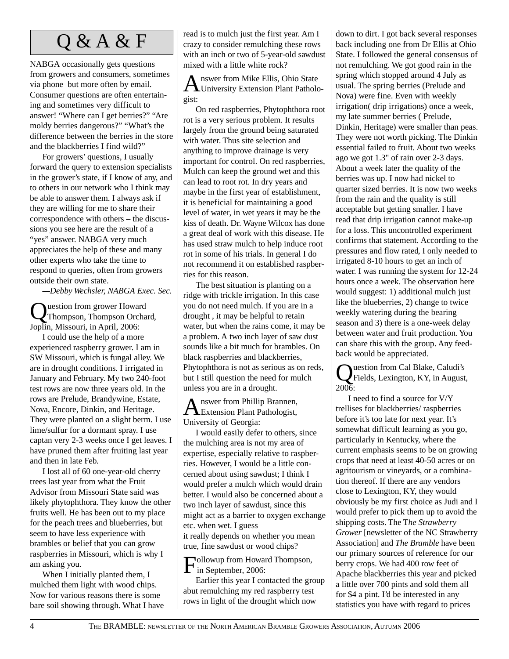NABGA occasionally gets questions from growers and consumers, sometimes via phone but more often by email. Consumer questions are often entertaining and sometimes very difficult to answer! "Where can I get berries?" "Are moldy berries dangerous?" "What's the difference between the berries in the store and the blackberries I find wild?"

For growers' questions, I usually forward the query to extension specialists in the grower's state, if I know of any, and to others in our network who I think may be able to answer them. I always ask if they are willing for me to share their correspondence with others – the discussions you see here are the result of a "yes" answer. NABGA very much appreciates the help of these and many other experts who take the time to respond to queries, often from growers outside their own state.

*—Debby Wechsler, NABGA Exec. Sec.*

uestion from grower Howard Thompson, Thompson Orchard, Joplin, Missouri, in April, 2006:

I could use the help of a more experienced raspberry grower. I am in SW Missouri, which is fungal alley. We are in drought conditions. I irrigated in January and February. My two 240-foot test rows are now three years old. In the rows are Prelude, Brandywine, Estate, Nova, Encore, Dinkin, and Heritage. They were planted on a slight berm. I use lime/sulfur for a dormant spray. I use captan very 2-3 weeks once I get leaves. I have pruned them after fruiting last year and then in late Feb.

I lost all of 60 one-year-old cherry trees last year from what the Fruit Advisor from Missouri State said was likely phytophthora. They know the other fruits well. He has been out to my place for the peach trees and blueberries, but seem to have less experience with brambles or belief that you can grow raspberries in Missouri, which is why I am asking you.

When I initially planted them, I mulched them light with wood chips. Now for various reasons there is some bare soil showing through. What I have

read is to mulch just the first year. Am I crazy to consider remulching these rows with an inch or two of 5-year-old sawdust mixed with a little white rock?  $\overline{\text{O} \& \text{A} \& \text{F}}$  read is to mulch just the first year. Am I down to dirt. I got back several responses exercit responses

> Answer from Mike Ellis, Ohio State<br>
> University Extension Plant Pathologist:

On red raspberries, Phytophthora root rot is a very serious problem. It results largely from the ground being saturated with water. Thus site selection and anything to improve drainage is very important for control. On red raspberries, Mulch can keep the ground wet and this can lead to root rot. In dry years and maybe in the first year of establishment, it is beneficial for maintaining a good level of water, in wet years it may be the kiss of death. Dr. Wayne Wilcox has done a great deal of work with this disease. He has used straw mulch to help induce root rot in some of his trials. In general I do not recommend it on established raspberries for this reason.

The best situation is planting on a ridge with trickle irrigation. In this case you do not need mulch. If you are in a drought , it may be helpful to retain water, but when the rains come, it may be a problem. A two inch layer of saw dust sounds like a bit much for brambles. On black raspberries and blackberries, Phytophthora is not as serious as on reds, but I still question the need for mulch unless you are in a drought.

Answer from Phillip Brannen, Extension Plant Pathologist, University of Georgia:

I would easily defer to others, since the mulching area is not my area of expertise, especially relative to raspberries. However, I would be a little concerned about using sawdust; I think I would prefer a mulch which would drain better. I would also be concerned about a two inch layer of sawdust, since this might act as a barrier to oxygen exchange etc. when wet. I guess it really depends on whether you mean true, fine sawdust or wood chips?

 $\Gamma_{\text{in} \text{ Sentember}}^{\text{allowup from Howard Thompson}}$ in September, 2006:

Earlier this year I contacted the group abut remulching my red raspberry test rows in light of the drought which now

back including one from Dr Ellis at Ohio State. I followed the general consensus of not remulching. We got good rain in the spring which stopped around 4 July as usual. The spring berries (Prelude and Nova) were fine. Even with weekly irrigation( drip irrigations) once a week, my late summer berries ( Prelude, Dinkin, Heritage) were smaller than peas. They were not worth picking. The Dinkin essential failed to fruit. About two weeks ago we got 1.3" of rain over 2-3 days. About a week later the quality of the berries was up. I now had nickel to quarter sized berries. It is now two weeks from the rain and the quality is still acceptable but getting smaller. I have read that drip irrigation cannot make-up for a loss. This uncontrolled experiment confirms that statement. According to the pressures and flow rated, I only needed to irrigated 8-10 hours to get an inch of water. I was running the system for 12-24 hours once a week. The observation here would suggest: 1) additional mulch just like the blueberries, 2) change to twice weekly watering during the bearing season and 3) there is a one-week delay between water and fruit production. You can share this with the group. Any feedback would be appreciated.

Question from Cal Blake, Caludi's Fields, Lexington, KY, in August,  $2006$ :

I need to find a source for V/Y trellises for blackberries/ raspberries before it's too late for next year. It's somewhat difficult learning as you go, particularly in Kentucky, where the current emphasis seems to be on growing crops that need at least 40-50 acres or on agritourism or vineyards, or a combination thereof. If there are any vendors close to Lexington, KY, they would obviously be my first choice as Judi and I would prefer to pick them up to avoid the shipping costs. The T*he Strawberry Grower* [newsletter of the NC Strawberry Association] and *The Bramble* have been our primary sources of reference for our berry crops. We had 400 row feet of Apache blackberries this year and picked a little over 700 pints and sold them all for \$4 a pint. I'd be interested in any statistics you have with regard to prices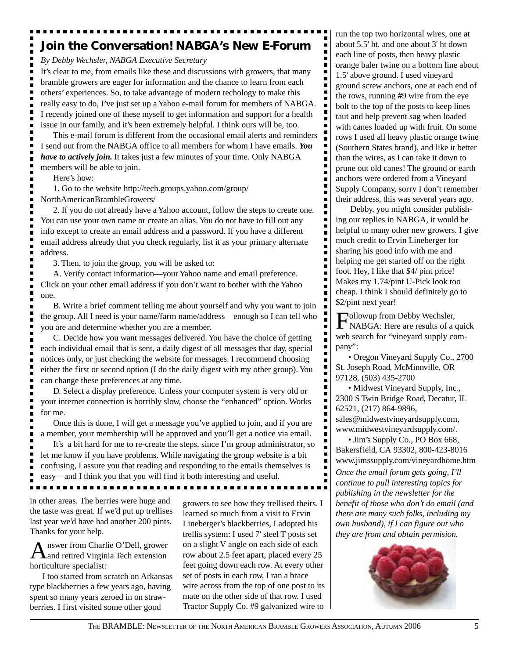### **Join the Conversation! NABGA's New E-Forum**

*By Debby Wechsler, NABGA Executive Secretary*

It's clear to me, from emails like these and discussions with growers, that many bramble growers are eager for information and the chance to learn from each others' experiences. So, to take advantage of modern techology to make this really easy to do, I've just set up a Yahoo e-mail forum for members of NABGA. I recently joined one of these myself to get information and support for a health issue in our family, and it's been extremely helpful. I think ours will be, too.

This e-mail forum is different from the occasional email alerts and reminders I send out from the NABGA office to all members for whom I have emails. *You have to actively join.* It takes just a few minutes of your time. Only NABGA members will be able to join.

Here's how:

Ē.

1. Go to the website http://tech.groups.yahoo.com/group/ NorthAmericanBrambleGrowers/

2. If you do not already have a Yahoo account, follow the steps to create one. You can use your own name or create an alias. You do not have to fill out any info except to create an email address and a password. If you have a different email address already that you check regularly, list it as your primary alternate address.

3. Then, to join the group, you will be asked to:

A. Verify contact information—your Yahoo name and email preference. Click on your other email address if you don't want to bother with the Yahoo one.

B. Write a brief comment telling me about yourself and why you want to join the group. All I need is your name/farm name/address—enough so I can tell who you are and determine whether you are a member.

C. Decide how you want messages delivered. You have the choice of getting each individual email that is sent, a daily digest of all messages that day, special notices only, or just checking the website for messages. I recommend choosing either the first or second option (I do the daily digest with my other group). You can change these preferences at any time.

D. Select a display preference. Unless your computer system is very old or your internet connection is horribly slow, choose the "enhanced" option. Works for me.

Once this is done, I will get a message you've applied to join, and if you are a member, your membership will be approved and you'll get a notice via email.

It's a bit hard for me to re-create the steps, since I'm group administrator, so let me know if you have problems. While navigating the group website is a bit confusing, I assure you that reading and responding to the emails themselves is easy – and I think you that you will find it both interesting and useful.

in other areas. The berries were huge and the taste was great. If we'd put up trellises last year we'd have had another 200 pints. Thanks for your help.

A nswer from Charlie O'Dell, grower<br>
and retired Virginia Tech extension horticulture specialist:

I too started from scratch on Arkansas type blackberries a few years ago, having spent so many years zeroed in on strawberries. I first visited some other good

growers to see how they trellised theirs. I learned so much from a visit to Ervin Lineberger's blackberries, I adopted his trellis system: I used 7' steel T posts set on a slight V angle on each side of each row about 2.5 feet apart, placed every 25 feet going down each row. At every other set of posts in each row, I ran a brace wire across from the top of one post to its mate on the other side of that row. I used Tractor Supply Co. #9 galvanized wire to run the top two horizontal wires, one at about 5.5' ht. and one about 3' ht down each line of posts, then heavy plastic orange baler twine on a bottom line about 1.5' above ground. I used vineyard ground screw anchors, one at each end of the rows, running #9 wire from the eye bolt to the top of the posts to keep lines taut and help prevent sag when loaded with canes loaded up with fruit. On some rows I used all heavy plastic orange twine (Southern States brand), and like it better than the wires, as I can take it down to prune out old canes! The ground or earth anchors were ordered from a Vineyard Supply Company, sorry I don't remember their address, this was several years ago.

 Debby, you might consider publishing our replies in NABGA, it would be helpful to many other new growers. I give much credit to Ervin Lineberger for sharing his good info with me and helping me get started off on the right foot. Hey, I like that \$4/ pint price! Makes my 1.74/pint U-Pick look too cheap. I think I should definitely go to \$2/pint next year!

Followup from Debby Wechsler, NABGA: Here are results of a quick web search for "vineyard supply company":

• Oregon Vineyard Supply Co., 2700 St. Joseph Road, McMinnville, OR 97128, (503) 435-2700

• Midwest Vineyard Supply, Inc., 2300 S Twin Bridge Road, Decatur, IL 62521, (217) 864-9896, sales@midwestvineyardsupply.com,

www.midwestvineyardsupply.com/. • Jim's Supply Co., PO Box 668,

Bakersfield, CA 93302, 800-423-8016 www.jimssupply.com/vineyardhome.htm *Once the email forum gets going, I'll continue to pull interesting topics for publishing in the newsletter for the benefit of those who don't do email (and there are many such folks, including my own husband), if I can figure out who they are from and obtain permision.*

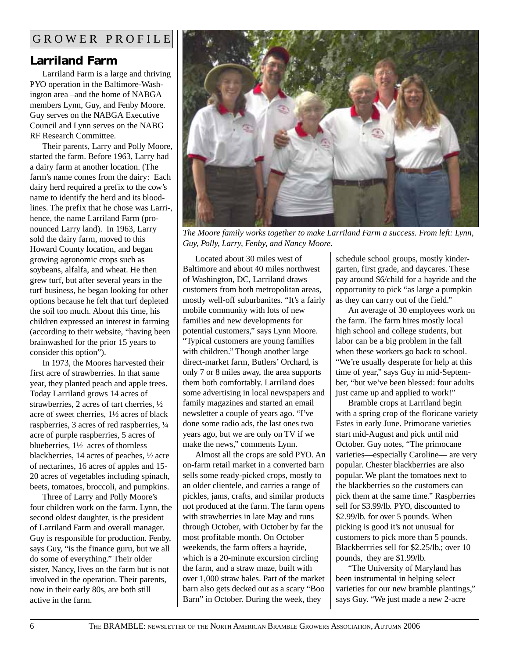### **Larriland Farm**

Larriland Farm is a large and thriving PYO operation in the Baltimore-Washington area –and the home of NABGA members Lynn, Guy, and Fenby Moore. Guy serves on the NABGA Executive Council and Lynn serves on the NABG RF Research Committee.

Their parents, Larry and Polly Moore, started the farm. Before 1963, Larry had a dairy farm at another location. (The farm's name comes from the dairy: Each dairy herd required a prefix to the cow's name to identify the herd and its bloodlines. The prefix that he chose was Larri-, hence, the name Larriland Farm (pronounced Larry land). In 1963, Larry sold the dairy farm, moved to this Howard County location, and began growing agronomic crops such as soybeans, alfalfa, and wheat. He then grew turf, but after several years in the turf business, he began looking for other options because he felt that turf depleted the soil too much. About this time, his children expressed an interest in farming (according to their website, "having been brainwashed for the prior 15 years to consider this option").

In 1973, the Moores harvested their first acre of strawberries. In that same year, they planted peach and apple trees. Today Larriland grows 14 acres of strawberries, 2 acres of tart cherries, ½ acre of sweet cherries, 1½ acres of black raspberries, 3 acres of red raspberries, ¼ acre of purple raspberries, 5 acres of blueberries, 1½ acres of thornless blackberries, 14 acres of peaches, ½ acre of nectarines, 16 acres of apples and 15- 20 acres of vegetables including spinach, beets, tomatoes, broccoli, and pumpkins.

Three of Larry and Polly Moore's four children work on the farm. Lynn, the second oldest daughter, is the president of Larriland Farm and overall manager. Guy is responsible for production. Fenby, says Guy, "is the finance guru, but we all do some of everything." Their older sister, Nancy, lives on the farm but is not involved in the operation. Their parents, now in their early 80s, are both still active in the farm.



*The Moore family works together to make Larriland Farm a success. From left: Lynn, Guy, Polly, Larry, Fenby, and Nancy Moore.*

Located about 30 miles west of Baltimore and about 40 miles northwest of Washington, DC, Larriland draws customers from both metropolitan areas, mostly well-off suburbanites. "It's a fairly mobile community with lots of new families and new developments for potential customers," says Lynn Moore. "Typical customers are young families with children." Though another large direct-market farm, Butlers' Orchard, is only 7 or 8 miles away, the area supports them both comfortably. Larriland does some advertising in local newspapers and family magazines and started an email newsletter a couple of years ago. "I've done some radio ads, the last ones two years ago, but we are only on TV if we make the news," comments Lynn.

Almost all the crops are sold PYO. An on-farm retail market in a converted barn sells some ready-picked crops, mostly to an older clientele, and carries a range of pickles, jams, crafts, and similar products not produced at the farm. The farm opens with strawberries in late May and runs through October, with October by far the most profitable month. On October weekends, the farm offers a hayride, which is a 20-minute excursion circling the farm, and a straw maze, built with over 1,000 straw bales. Part of the market barn also gets decked out as a scary "Boo Barn" in October. During the week, they

schedule school groups, mostly kindergarten, first grade, and daycares. These pay around \$6/child for a hayride and the opportunity to pick "as large a pumpkin as they can carry out of the field."

An average of 30 employees work on the farm. The farm hires mostly local high school and college students, but labor can be a big problem in the fall when these workers go back to school. "We're usually desperate for help at this time of year," says Guy in mid-September, "but we've been blessed: four adults just came up and applied to work!"

Bramble crops at Larriland begin with a spring crop of the floricane variety Estes in early June. Primocane varieties start mid-August and pick until mid October. Guy notes, "The primocane varieties—especially Caroline— are very popular. Chester blackberries are also popular. We plant the tomatoes next to the blackberries so the customers can pick them at the same time." Raspberries sell for \$3.99/lb. PYO, discounted to \$2.99/lb. for over 5 pounds. When picking is good it's not unusual for customers to pick more than 5 pounds. Blackberrries sell for \$2.25/lb.; over 10 pounds, they are \$1.99/lb.

"The University of Maryland has been instrumental in helping select varieties for our new bramble plantings," says Guy. "We just made a new 2-acre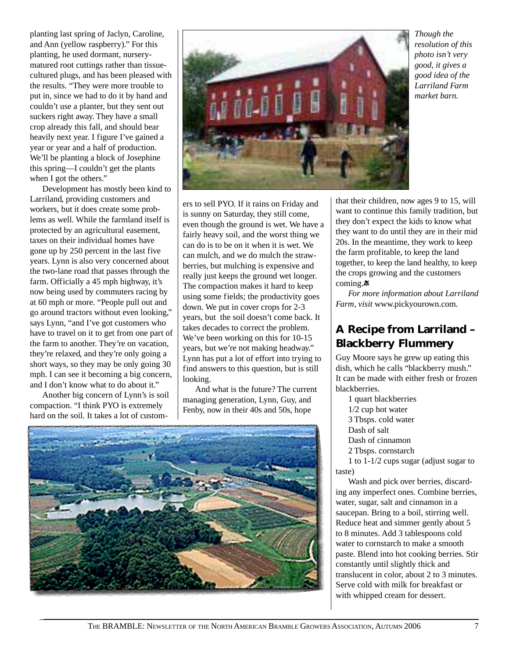planting last spring of Jaclyn, Caroline, and Ann (yellow raspberry)." For this planting, he used dormant, nurserymatured root cuttings rather than tissuecultured plugs, and has been pleased with the results. "They were more trouble to put in, since we had to do it by hand and couldn't use a planter, but they sent out suckers right away. They have a small crop already this fall, and should bear heavily next year. I figure I've gained a year or year and a half of production. We'll be planting a block of Josephine this spring—I couldn't get the plants when I got the others."

Development has mostly been kind to Larriland, providing customers and workers, but it does create some problems as well. While the farmland itself is protected by an agricultural easement, taxes on their individual homes have gone up by 250 percent in the last five years. Lynn is also very concerned about the two-lane road that passes through the farm. Officially a 45 mph highway, it's now being used by commuters racing by at 60 mph or more. "People pull out and go around tractors without even looking," says Lynn, "and I've got customers who have to travel on it to get from one part of the farm to another. They're on vacation, they're relaxed, and they're only going a short ways, so they may be only going 30 mph. I can see it becoming a big concern, and I don't know what to do about it."

Another big concern of Lynn's is soil compaction. "I think PYO is extremely hard on the soil. It takes a lot of custom-



ers to sell PYO. If it rains on Friday and is sunny on Saturday, they still come, even though the ground is wet. We have a fairly heavy soil, and the worst thing we can do is to be on it when it is wet. We can mulch, and we do mulch the strawberries, but mulching is expensive and really just keeps the ground wet longer. The compaction makes it hard to keep using some fields; the productivity goes down. We put in cover crops for 2-3 years, but the soil doesn't come back. It takes decades to correct the problem. We've been working on this for 10-15 years, but we're not making headway." Lynn has put a lot of effort into trying to find answers to this question, but is still looking.

And what is the future? The current managing generation, Lynn, Guy, and Fenby, now in their 40s and 50s, hope



that their children, now ages 9 to 15, will want to continue this family tradition, but they don't expect the kids to know what they want to do until they are in their mid 20s. In the meantime, they work to keep the farm profitable, to keep the land together, to keep the land healthy, to keep the crops growing and the customers coming.<sup>\*</sup>

*Though the resolution of this photo isn't very good, it gives a good idea of the Larriland Farm market barn.*

*For more information about Larriland Farm, visit* www.pickyourown.com*.*

### **A Recipe from Larriland – Blackberry Flummery**

Guy Moore says he grew up eating this dish, which he calls "blackberry mush." It can be made with either fresh or frozen blackberries.

1 quart blackberries

1/2 cup hot water

3 Tbsps. cold water

Dash of salt

Dash of cinnamon

2 Tbsps. cornstarch

1 to 1-1/2 cups sugar (adjust sugar to taste)

Wash and pick over berries, discarding any imperfect ones. Combine berries, water, sugar, salt and cinnamon in a saucepan. Bring to a boil, stirring well. Reduce heat and simmer gently about 5 to 8 minutes. Add 3 tablespoons cold water to cornstarch to make a smooth paste. Blend into hot cooking berries. Stir constantly until slightly thick and translucent in color, about 2 to 3 minutes. Serve cold with milk for breakfast or with whipped cream for dessert.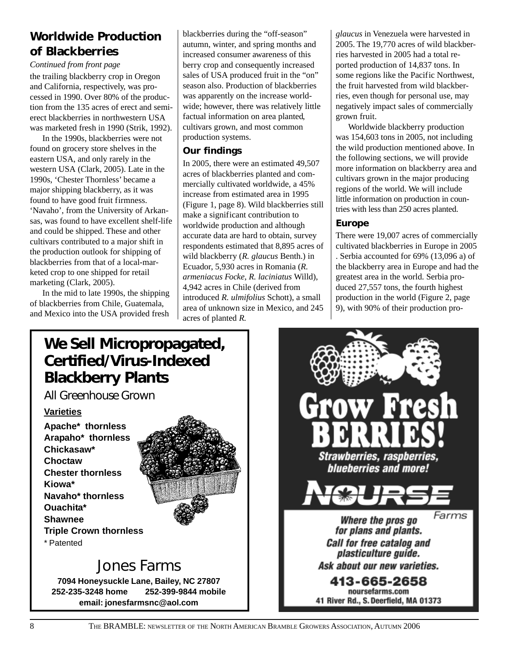### **Worldwide Production of Blackberries**

*Continued from front page*

the trailing blackberry crop in Oregon and California, respectively, was processed in 1990. Over 80% of the production from the 135 acres of erect and semierect blackberries in northwestern USA was marketed fresh in 1990 (Strik, 1992).

In the 1990s, blackberries were not found on grocery store shelves in the eastern USA, and only rarely in the western USA (Clark, 2005). Late in the 1990s, 'Chester Thornless' became a major shipping blackberry, as it was found to have good fruit firmness. 'Navaho', from the University of Arkansas, was found to have excellent shelf-life and could be shipped. These and other cultivars contributed to a major shift in the production outlook for shipping of blackberries from that of a local-marketed crop to one shipped for retail marketing (Clark, 2005).

In the mid to late 1990s, the shipping of blackberries from Chile, Guatemala, and Mexico into the USA provided fresh blackberries during the "off-season" autumn, winter, and spring months and increased consumer awareness of this berry crop and consequently increased sales of USA produced fruit in the "on" season also. Production of blackberries was apparently on the increase worldwide; however, there was relatively little factual information on area planted, cultivars grown, and most common production systems.

#### **Our findings**

In 2005, there were an estimated 49,507 acres of blackberries planted and commercially cultivated worldwide, a 45% increase from estimated area in 1995 (Figure 1, page 8). Wild blackberries still make a significant contribution to worldwide production and although accurate data are hard to obtain, survey respondents estimated that 8,895 acres of wild blackberry (*R. glaucus* Benth.) in Ecuador, 5,930 acres in Romania (*R. armeniacus Focke*, *R. laciniatus* Willd), 4,942 acres in Chile (derived from introduced *R. ulmifolius* Schott), a small area of unknown size in Mexico, and 245 acres of planted *R.*

*glaucus* in Venezuela were harvested in 2005. The 19,770 acres of wild blackberries harvested in 2005 had a total reported production of 14,837 tons. In some regions like the Pacific Northwest, the fruit harvested from wild blackberries, even though for personal use, may negatively impact sales of commercially grown fruit.

Worldwide blackberry production was 154,603 tons in 2005, not including the wild production mentioned above. In the following sections, we will provide more information on blackberry area and cultivars grown in the major producing regions of the world. We will include little information on production in countries with less than 250 acres planted.

#### **Europe**

There were 19,007 acres of commercially cultivated blackberries in Europe in 2005 . Serbia accounted for 69% (13,096 a) of the blackberry area in Europe and had the greatest area in the world. Serbia produced 27,557 tons, the fourth highest production in the world (Figure 2, page 9), with 90% of their production pro-

### **We Sell Micropropagated, Certified/Virus-Indexed Blackberry Plants**

*All Greenhouse Grown*

#### **Varieties**

**Apache\* thornless Arapaho\* thornless Chickasaw\* Choctaw Chester thornless Kiowa\* Navaho\* thornless Ouachita\* Shawnee Triple Crown thornless** \* Patented



## Jones Farms

**7094 Honeysuckle Lane, Bailey, NC 27807 252-235-3248 home 252-399-9844 mobile email: jonesfarmsnc@aol.com**

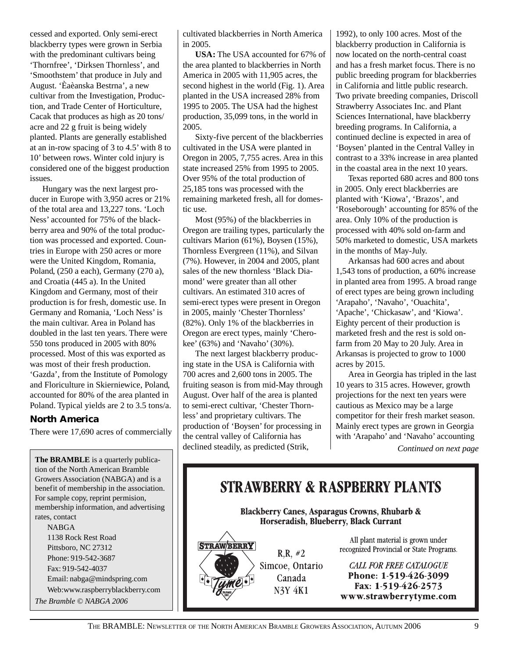cessed and exported. Only semi-erect blackberry types were grown in Serbia with the predominant cultivars being 'Thornfree', 'Dirksen Thornless', and 'Smoothstem' that produce in July and August. 'Èaèanska Bestrna', a new cultivar from the Investigation, Production, and Trade Center of Horticulture, Cacak that produces as high as 20 tons/ acre and 22 g fruit is being widely planted. Plants are generally established at an in-row spacing of 3 to 4.5' with 8 to 10' between rows. Winter cold injury is considered one of the biggest production issues.

Hungary was the next largest producer in Europe with 3,950 acres or 21% of the total area and 13,227 tons. 'Loch Ness' accounted for 75% of the blackberry area and 90% of the total production was processed and exported. Countries in Europe with 250 acres or more were the United Kingdom, Romania, Poland, (250 a each), Germany (270 a), and Croatia (445 a). In the United Kingdom and Germany, most of their production is for fresh, domestic use. In Germany and Romania, 'Loch Ness' is the main cultivar. Area in Poland has doubled in the last ten years. There were 550 tons produced in 2005 with 80% processed. Most of this was exported as was most of their fresh production. 'Gazda', from the Institute of Pomology and Floriculture in Skierniewice, Poland, accounted for 80% of the area planted in Poland. Typical yields are 2 to 3.5 tons/a.

#### **North America**

There were 17,690 acres of commercially

**The BRAMBLE** is a quarterly publication of the North American Bramble Growers Association (NABGA) and is a benefit of membership in the association. For sample copy, reprint permision, membership information, and advertising rates, contact NABGA 1138 Rock Rest Road Pittsboro, NC 27312 Phone: 919-542-3687 Fax: 919-542-4037 Email: nabga@mindspring.com Web:www.raspberryblackberry.com *The Bramble © NABGA 2006*

cultivated blackberries in North America in 2005.

**USA:** The USA accounted for 67% of the area planted to blackberries in North America in 2005 with 11,905 acres, the second highest in the world (Fig. 1). Area planted in the USA increased 28% from 1995 to 2005. The USA had the highest production, 35,099 tons, in the world in 2005.

Sixty-five percent of the blackberries cultivated in the USA were planted in Oregon in 2005, 7,755 acres. Area in this state increased 25% from 1995 to 2005. Over 95% of the total production of 25,185 tons was processed with the remaining marketed fresh, all for domestic use.

Most (95%) of the blackberries in Oregon are trailing types, particularly the cultivars Marion (61%), Boysen (15%), Thornless Evergreen (11%), and Silvan (7%). However, in 2004 and 2005, plant sales of the new thornless 'Black Diamond' were greater than all other cultivars. An estimated 310 acres of semi-erect types were present in Oregon in 2005, mainly 'Chester Thornless' (82%). Only 1% of the blackberries in Oregon are erect types, mainly 'Cherokee' (63%) and 'Navaho' (30%).

The next largest blackberry producing state in the USA is California with 700 acres and 2,600 tons in 2005. The fruiting season is from mid-May through August. Over half of the area is planted to semi-erect cultivar, 'Chester Thornless' and proprietary cultivars. The production of 'Boysen' for processing in the central valley of California has declined steadily, as predicted (Strik,

1992), to only 100 acres. Most of the blackberry production in California is now located on the north-central coast and has a fresh market focus. There is no public breeding program for blackberries in California and little public research. Two private breeding companies, Driscoll Strawberry Associates Inc. and Plant Sciences International, have blackberry breeding programs. In California, a continued decline is expected in area of 'Boysen' planted in the Central Valley in contrast to a 33% increase in area planted in the coastal area in the next 10 years.

Texas reported 680 acres and 800 tons in 2005. Only erect blackberries are planted with 'Kiowa', 'Brazos', and 'Roseborough' accounting for 85% of the area. Only 10% of the production is processed with 40% sold on-farm and 50% marketed to domestic, USA markets in the months of May-July.

Arkansas had 600 acres and about 1,543 tons of production, a 60% increase in planted area from 1995. A broad range of erect types are being grown including 'Arapaho', 'Navaho', 'Ouachita', 'Apache', 'Chickasaw', and 'Kiowa'. Eighty percent of their production is marketed fresh and the rest is sold onfarm from 20 May to 20 July. Area in Arkansas is projected to grow to 1000 acres by 2015.

Area in Georgia has tripled in the last 10 years to 315 acres. However, growth projections for the next ten years were cautious as Mexico may be a large competitor for their fresh market season. Mainly erect types are grown in Georgia with 'Arapaho' and 'Navaho' accounting

*Continued on next page*

### **STRAWBERRY & RASPBERRY PLANTS**

**Blackberry Canes, Asparagus Crowns, Rhubarb &** Horseradish, Blueberry, Black Currant

 $R, R, #2$ Simcoe, Ontario Canada **N3Y 4K1** 

All plant material is grown under recognized Provincial or State Programs.

**CALL FOR FREE CATALOGUE** Phone: 1-519-426-3099 Fax: 1-519-426-2573 www.strawberrytyme.com

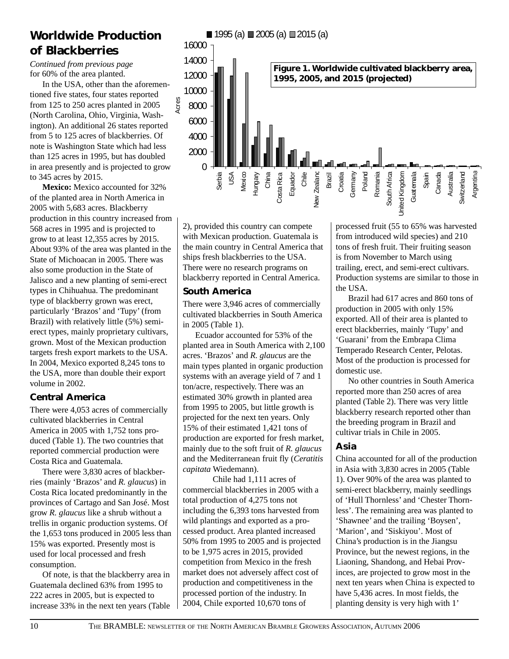### **Worldwide Production of Blackberries**

for 60% of the area planted. *Continued from previous page*

In the USA, other than the aforementioned five states, four states reported from 125 to 250 acres planted in 2005 (North Carolina, Ohio, Virginia, Washington). An additional 26 states reported from 5 to 125 acres of blackberries. Of note is Washington State which had less than 125 acres in 1995, but has doubled in area presently and is projected to grow to 345 acres by 2015.

**Mexico:** Mexico accounted for 32% of the planted area in North America in 2005 with 5,683 acres. Blackberry production in this country increased from 568 acres in 1995 and is projected to grow to at least 12,355 acres by 2015. About 93% of the area was planted in the State of Michoacan in 2005. There was also some production in the State of Jalisco and a new planting of semi-erect types in Chihuahua. The predominant type of blackberry grown was erect, particularly 'Brazos' and 'Tupy' (from Brazil) with relatively little (5%) semierect types, mainly proprietary cultivars, grown. Most of the Mexican production targets fresh export markets to the USA. In 2004, Mexico exported 8,245 tons to the USA, more than double their export volume in 2002.

#### **Central America**

There were 4,053 acres of commercially cultivated blackberries in Central America in 2005 with 1,752 tons produced (Table 1). The two countries that reported commercial production were Costa Rica and Guatemala.

There were 3,830 acres of blackberries (mainly 'Brazos' and *R. glaucus*) in Costa Rica located predominantly in the provinces of Cartago and San José. Most grow *R. glaucus* like a shrub without a trellis in organic production systems. Of the 1,653 tons produced in 2005 less than 15% was exported. Presently most is used for local processed and fresh consumption.

Of note, is that the blackberry area in Guatemala declined 63% from 1995 to 222 acres in 2005, but is expected to increase 33% in the next ten years (Table



2), provided this country can compete with Mexican production. Guatemala is the main country in Central America that ships fresh blackberries to the USA. There were no research programs on blackberry reported in Central America.

#### **South America**

There were 3,946 acres of commercially cultivated blackberries in South America in 2005 (Table 1).

Ecuador accounted for 53% of the planted area in South America with 2,100 acres. 'Brazos' and *R. glaucus* are the main types planted in organic production systems with an average yield of 7 and 1 ton/acre, respectively. There was an estimated 30% growth in planted area from 1995 to 2005, but little growth is projected for the next ten years. Only 15% of their estimated 1,421 tons of production are exported for fresh market, mainly due to the soft fruit of *R. glaucus* and the Mediterranean fruit fly (*Ceratitis capitata* Wiedemann).

Chile had 1,111 acres of commercial blackberries in 2005 with a total production of 4,275 tons not including the 6,393 tons harvested from wild plantings and exported as a processed product. Area planted increased 50% from 1995 to 2005 and is projected to be 1,975 acres in 2015, provided competition from Mexico in the fresh market does not adversely affect cost of production and competitiveness in the processed portion of the industry. In 2004, Chile exported 10,670 tons of

processed fruit (55 to 65% was harvested from introduced wild species) and 210 tons of fresh fruit. Their fruiting season is from November to March using trailing, erect, and semi-erect cultivars. Production systems are similar to those in the USA.

Brazil had 617 acres and 860 tons of production in 2005 with only 15% exported. All of their area is planted to erect blackberries, mainly 'Tupy' and 'Guarani' from the Embrapa Clima Temperado Research Center, Pelotas. Most of the production is processed for domestic use.

No other countries in South America reported more than 250 acres of area planted (Table 2). There was very little blackberry research reported other than the breeding program in Brazil and cultivar trials in Chile in 2005.

#### **Asia**

China accounted for all of the production in Asia with 3,830 acres in 2005 (Table 1). Over 90% of the area was planted to semi-erect blackberry, mainly seedlings of 'Hull Thornless' and 'Chester Thornless'. The remaining area was planted to 'Shawnee' and the trailing 'Boysen', 'Marion', and 'Siskiyou'. Most of China's production is in the Jiangsu Province, but the newest regions, in the Liaoning, Shandong, and Hebai Provinces, are projected to grow most in the next ten years when China is expected to have 5,436 acres. In most fields, the planting density is very high with 1'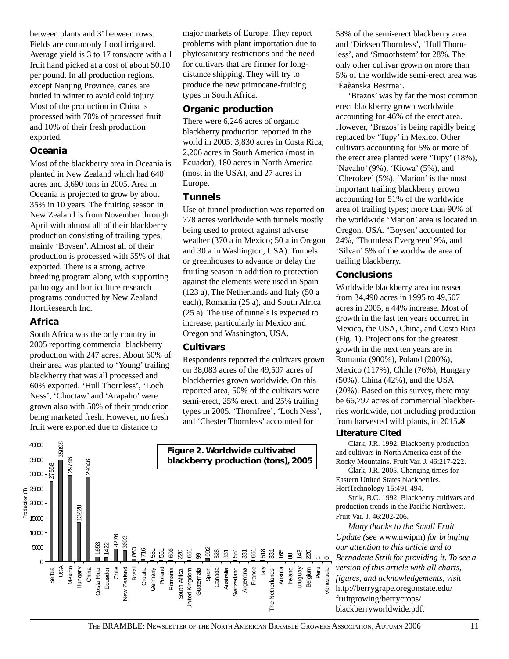between plants and 3' between rows. Fields are commonly flood irrigated. Average yield is 3 to 17 tons/acre with all fruit hand picked at a cost of about \$0.10 per pound. In all production regions, except Nanjing Province, canes are buried in winter to avoid cold injury. Most of the production in China is processed with 70% of processed fruit and 10% of their fresh production exported.

#### **Oceania**

Most of the blackberry area in Oceania is planted in New Zealand which had 640 acres and 3,690 tons in 2005. Area in Oceania is projected to grow by about 35% in 10 years. The fruiting season in New Zealand is from November through April with almost all of their blackberry production consisting of trailing types, mainly 'Boysen'. Almost all of their production is processed with 55% of that exported. There is a strong, active breeding program along with supporting pathology and horticulture research programs conducted by New Zealand HortResearch Inc.

#### **Africa**

South Africa was the only country in 2005 reporting commercial blackberry production with 247 acres. About 60% of their area was planted to 'Young' trailing blackberry that was all processed and 60% exported. 'Hull Thornless', 'Loch Ness', 'Choctaw' and 'Arapaho' were grown also with 50% of their production being marketed fresh. However, no fresh fruit were exported due to distance to

major markets of Europe. They report problems with plant importation due to phytosanitary restrictions and the need for cultivars that are firmer for longdistance shipping. They will try to produce the new primocane-fruiting types in South Africa.

#### **Organic production**

There were 6,246 acres of organic blackberry production reported in the world in 2005: 3,830 acres in Costa Rica, 2,206 acres in South America (most in Ecuador), 180 acres in North America (most in the USA), and 27 acres in Europe.

#### **Tunnels**

Use of tunnel production was reported on 778 acres worldwide with tunnels mostly being used to protect against adverse weather (370 a in Mexico; 50 a in Oregon and 30 a in Washington, USA). Tunnels or greenhouses to advance or delay the fruiting season in addition to protection against the elements were used in Spain (123 a), The Netherlands and Italy (50 a each), Romania (25 a), and South Africa (25 a). The use of tunnels is expected to increase, particularly in Mexico and Oregon and Washington, USA.

#### **Cultivars**

Respondents reported the cultivars grown on 38,083 acres of the 49,507 acres of blackberries grown worldwide. On this reported area, 50% of the cultivars were semi-erect, 25% erect, and 25% trailing types in 2005. 'Thornfree', 'Loch Ness', and 'Chester Thornless' accounted for



58% of the semi-erect blackberry area and 'Dirksen Thornless', 'Hull Thornless', and 'Smoothstem' for 28%. The only other cultivar grown on more than 5% of the worldwide semi-erect area was 'Èaèanska Bestrna'.

'Brazos' was by far the most common erect blackberry grown worldwide accounting for 46% of the erect area. However, 'Brazos' is being rapidly being replaced by 'Tupy' in Mexico. Other cultivars accounting for 5% or more of the erect area planted were 'Tupy' (18%), 'Navaho' (9%), 'Kiowa' (5%), and 'Cherokee' (5%). 'Marion' is the most important trailing blackberry grown accounting for 51% of the worldwide area of trailing types; more than 90% of the worldwide 'Marion' area is located in Oregon, USA. 'Boysen' accounted for 24%, 'Thornless Evergreen' 9%, and 'Silvan' 5% of the worldwide area of trailing blackberry.

#### **Conclusions**

Worldwide blackberry area increased from 34,490 acres in 1995 to 49,507 acres in 2005, a 44% increase. Most of growth in the last ten years occurred in Mexico, the USA, China, and Costa Rica (Fig. 1). Projections for the greatest growth in the next ten years are in Romania (900%), Poland (200%), Mexico (117%), Chile (76%), Hungary (50%), China (42%), and the USA (20%). Based on this survey, there may be 66,797 acres of commercial blackberries worldwide, not including production from harvested wild plants, in 2015. $\ast$ 

#### **Literature Cited**

Clark, J.R. 1992. Blackberry production and cultivars in North America east of the Rocky Mountains. Fruit Var. J. 46:217-222.

Clark, J.R. 2005. Changing times for Eastern United States blackberries. HortTechnology 15:491-494.

Strik, B.C. 1992. Blackberry cultivars and production trends in the Pacific Northwest. Fruit Var. J. 46:202-206.

*Many thanks to the Small Fruit Update (see* www.nwipm) *for bringing our attention to this article and to Bernadette Strik for providing it. To see a version of this article with all charts, figures, and acknowledgements, visit* http://berrygrape.oregonstate.edu/ fruitgrowing/berrycrops/ blackberryworldwide.pdf.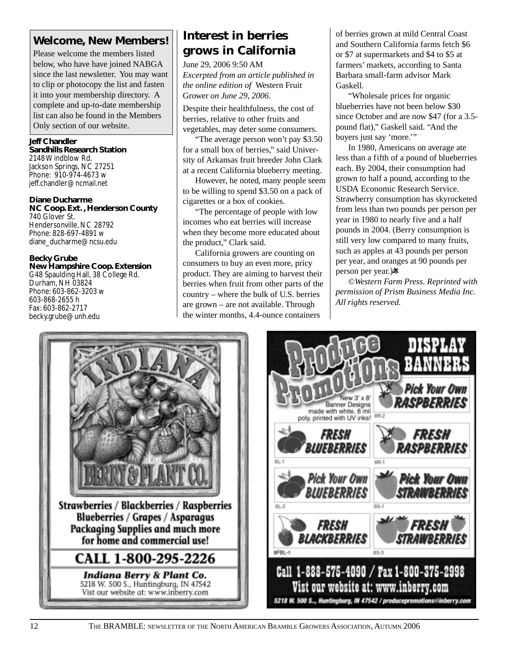### **Welcome, New Members!**

Please welcome the members listed below, who have have joined NABGA since the last newsletter. You may want to clip or photocopy the list and fasten it into your membership directory. A complete and up-to-date membership list can also be found in the Members Only section of our website.

**Jeff Chandler Sandhills Research Station** 2148 Windblow Rd. Jackson Springs, NC 27251 Phone: 910-974-4673 w jeff.chandler@ncmail.net

**Diane Ducharme NC Coop. Ext. , Henderson County** 740 Glover St. Hendersonville, NC 28792 Phone: 828-697-4891 w diane\_ducharme@ncsu.edu

**Becky Grube New Hampshire Coop. Extension** G48 Spaulding Hall, 38 College Rd. Durham, NH 03824 Phone: 603-862-3203 w 603-868-2655 h Fax: 603-862-2717 becky.grube@unh.edu

### **Interest in berries grows in California**

June 29, 2006 9:50 AM *Excerpted from an article published in the online edition of* Western Fruit Grower *on June 29, 2006.*

Despite their healthfulness, the cost of berries, relative to other fruits and vegetables, may deter some consumers.

"The average person won't pay \$3.50 for a small box of berries," said University of Arkansas fruit breeder John Clark at a recent California blueberry meeting.

However, he noted, many people seem to be willing to spend \$3.50 on a pack of cigarettes or a box of cookies.

"The percentage of people with low incomes who eat berries will increase when they become more educated about the product," Clark said.

California growers are counting on consumers to buy an even more, pricy product. They are aiming to harvest their berries when fruit from other parts of the country – where the bulk of U.S. berries are grown – are not available. Through the winter months, 4.4-ounce containers

of berries grown at mild Central Coast and Southern California farms fetch \$6 or \$7 at supermarkets and \$4 to \$5 at farmers' markets, according to Santa Barbara small-farm advisor Mark Gaskell.

"Wholesale prices for organic blueberries have not been below \$30 since October and are now \$47 (for a 3.5 pound flat)," Gaskell said. "And the buyers just say 'more.'"

In 1980, Americans on average ate less than a fifth of a pound of blueberries each. By 2004, their consumption had grown to half a pound, according to the USDA Economic Research Service. Strawberry consumption has skyrocketed from less than two pounds per person per year in 1980 to nearly five and a half pounds in 2004. (Berry consumption is still very low compared to many fruits, such as apples at 43 pounds per person per year, and oranges at 90 pounds per person per year.)

©*Western Farm Press. Reprinted with permission of Prism Business Media Inc. All rights reserved.*



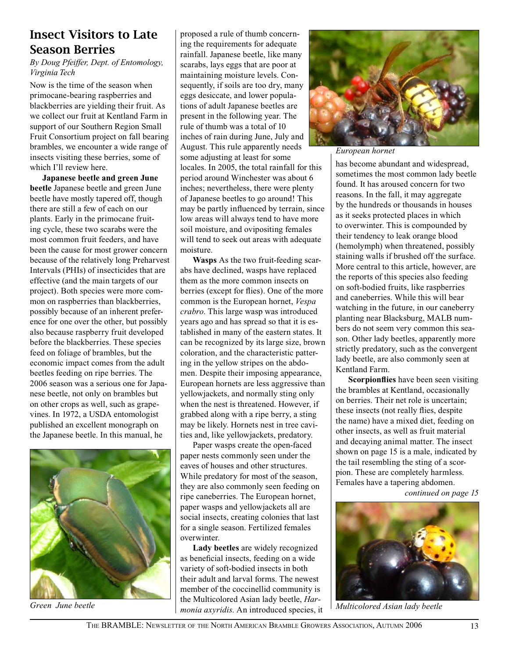### Insect Visitors to Late Season Berries

*By Doug Pfeiffer, Dept. of Entomology, Virginia Tech*

Now is the time of the season when primocane-bearing raspberries and blackberries are yielding their fruit. As we collect our fruit at Kentland Farm in support of our Southern Region Small Fruit Consortium project on fall bearing brambles, we encounter a wide range of insects visiting these berries, some of which I'll review here.

**Japanese beetle and green June beetle** Japanese beetle and green June beetle have mostly tapered off, though there are still a few of each on our plants. Early in the primocane fruiting cycle, these two scarabs were the most common fruit feeders, and have been the cause for most grower concern because of the relatively long Preharvest Intervals (PHIs) of insecticides that are effective (and the main targets of our project). Both species were more common on raspberries than blackberries, possibly because of an inherent preference for one over the other, but possibly also because raspberry fruit developed before the blackberries. These species feed on foliage of brambles, but the economic impact comes from the adult beetles feeding on ripe berries. The 2006 season was a serious one for Japanese beetle, not only on brambles but on other crops as well, such as grapevines. In 1972, a USDA entomologist published an excellent monograph on the Japanese beetle. In this manual, he



*Green June beetle*

proposed a rule of thumb concerning the requirements for adequate rainfall. Japanese beetle, like many scarabs, lays eggs that are poor at maintaining moisture levels. Consequently, if soils are too dry, many eggs desiccate, and lower populations of adult Japanese beetles are present in the following year. The rule of thumb was a total of 10 inches of rain during June, July and August. This rule apparently needs some adjusting at least for some locales. In 2005, the total rainfall for this period around Winchester was about 6 inches; nevertheless, there were plenty of Japanese beetles to go around! This may be partly influenced by terrain, since low areas will always tend to have more soil moisture, and ovipositing females will tend to seek out areas with adequate moisture.

**Wasps** As the two fruit-feeding scarabs have declined, wasps have replaced them as the more common insects on berries (except for flies). One of the more common is the European hornet, *Vespa crabro*. This large wasp was introduced years ago and has spread so that it is established in many of the eastern states. It can be recognized by its large size, brown coloration, and the characteristic pattering in the yellow stripes on the abdomen. Despite their imposing appearance, European hornets are less aggressive than yellowjackets, and normally sting only when the nest is threatened. However, if grabbed along with a ripe berry, a sting may be likely. Hornets nest in tree cavities and, like yellowjackets, predatory.

Paper wasps create the open-faced paper nests commonly seen under the eaves of houses and other structures. While predatory for most of the season, they are also commonly seen feeding on ripe caneberries. The European hornet, paper wasps and yellowjackets all are social insects, creating colonies that last for a single season. Fertilized females overwinter.

**Lady beetles** are widely recognized as beneficial insects, feeding on a wide variety of soft-bodied insects in both their adult and larval forms. The newest member of the coccinellid community is the Multicolored Asian lady beetle, *Harmonia axyridis*. An introduced species, it



*European hornet*

has become abundant and widespread, sometimes the most common lady beetle found. It has aroused concern for two reasons. In the fall, it may aggregate by the hundreds or thousands in houses as it seeks protected places in which to overwinter. This is compounded by their tendency to leak orange blood (hemolymph) when threatened, possibly staining walls if brushed off the surface. More central to this article, however, are the reports of this species also feeding on soft-bodied fruits, like raspberries and caneberries. While this will bear watching in the future, in our caneberry planting near Blacksburg, MALB numbers do not seem very common this season. Other lady beetles, apparently more strictly predatory, such as the convergent lady beetle, are also commonly seen at Kentland Farm.

**Scorpionflies** have been seen visiting the brambles at Kentland, occasionally on berries. Their net role is uncertain; these insects (not really flies, despite the name) have a mixed diet, feeding on other insects, as well as fruit material and decaying animal matter. The insect shown on page 15 is a male, indicated by the tail resembling the sting of a scorpion. These are completely harmless. Females have a tapering abdomen.

*continued on page 15*



*Multicolored Asian lady beetle*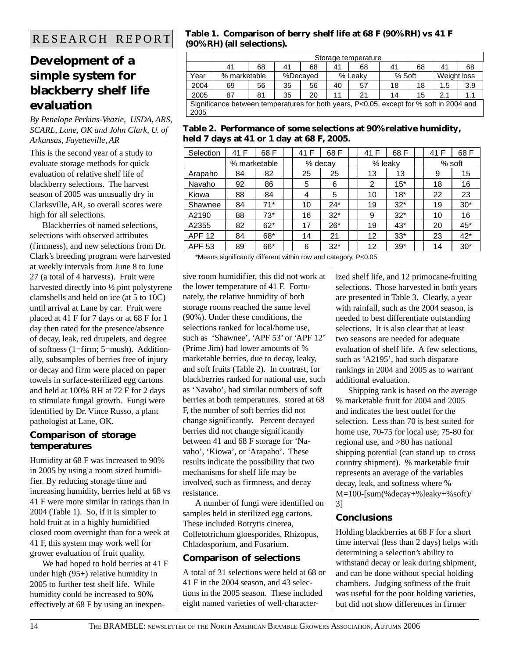### **Development of a simple system for blackberry shelf life evaluation**

#### *By Penelope Perkins-Veazie, USDA, ARS, SCARL, Lane, OK and John Clark, U. of Arkansas, Fayetteville, AR*

This is the second year of a study to evaluate storage methods for quick evaluation of relative shelf life of blackberry selections. The harvest season of 2005 was unusually dry in Clarksville, AR, so overall scores were high for all selections.

Blackberries of named selections, selections with observed attributes (firmness), and new selections from Dr. Clark's breeding program were harvested at weekly intervals from June 8 to June 27 (a total of 4 harvests). Fruit were harvested directly into ½ pint polystyrene clamshells and held on ice (at 5 to 10C) until arrival at Lane by car. Fruit were placed at 41 F for 7 days or at 68 F for 1 day then rated for the presence/absence of decay, leak, red drupelets, and degree of softness (1=firm; 5=mush). Additionally, subsamples of berries free of injury or decay and firm were placed on paper towels in surface-sterilized egg cartons and held at 100% RH at 72 F for 2 days to stimulate fungal growth. Fungi were identified by Dr. Vince Russo, a plant pathologist at Lane, OK.

#### **Comparison of storage temperatures**

Humidity at 68 F was increased to 90% in 2005 by using a room sized humidifier. By reducing storage time and increasing humidity, berries held at 68 vs 41 F were more similar in ratings than in 2004 (Table 1). So, if it is simpler to hold fruit at in a highly humidified closed room overnight than for a week at 41 F, this system may work well for grower evaluation of fruit quality.

We had hoped to hold berries at 41 F under high (95+) relative humidity in 2005 to further test shelf life. While humidity could be increased to 90% effectively at 68 F by using an inexpen-

#### R E S E A R C H R E P O R T **Table 1. Comparison of berry shelf life at 68 F (90% RH) vs 41 F (90% RH) (all selections).**

|                                                                                                 | Storage temperature |    |    |          |    |         |        |    |             |     |  |
|-------------------------------------------------------------------------------------------------|---------------------|----|----|----------|----|---------|--------|----|-------------|-----|--|
|                                                                                                 | 41                  | 68 | 41 | 68       | 41 | 68      | 41     | 68 | 41          | 68  |  |
| Year                                                                                            | % marketable        |    |    | %Decaved |    | % Leakv | % Soft |    | Weight loss |     |  |
| 2004                                                                                            | 69                  | 56 | 35 | 56       | 40 | 57      | 18     | 18 | 1.5         | 3.9 |  |
| 2005                                                                                            | 87                  | 81 | 35 | 20       | 11 | 21      | 14     | 15 | 2.1         | 1.1 |  |
| Significance between temperatures for both years, P<0.05, except for % soft in 2004 and<br>2005 |                     |    |    |          |    |         |        |    |             |     |  |

#### **Table 2. Performance of some selections at 90% relative humidity, held 7 days at 41 or 1 day at 68 F, 2005.**

| Selection     | 41 F         | 68 F  |  | 41 F    | 68 F  | 41 F              | 68 F  |  | 41 F     | 68 F  |
|---------------|--------------|-------|--|---------|-------|-------------------|-------|--|----------|-------|
|               | % marketable |       |  | % decay |       | % leaky           |       |  | $%$ soft |       |
| Arapaho       | 84           | 82    |  | 25      | 25    | 13                | 13    |  | 9        | 15    |
| Navaho        | 92           | 86    |  | 5       | 6     | 2                 | $15*$ |  | 18       | 16    |
| Kiowa         | 88           | 84    |  | 4       | 5     | 10                | $18*$ |  | 22       | 23    |
| Shawnee       | 84           | 71*   |  | 10      | $24*$ | 19                | $32*$ |  | 19       | $30*$ |
| A2190         | 88           | $73*$ |  | 16      | $32*$ | 9                 | $32*$ |  | 10       | 16    |
| A2355         | 82           | $62*$ |  | 17      | $26*$ | 19                | $43*$ |  | 20       | $45*$ |
| <b>APF 12</b> | 84           | 68*   |  | 14      | 21    | $12 \overline{ }$ | $33*$ |  | 23       | $42*$ |
| <b>APF 53</b> | 89           | 66*   |  | 6       | $32*$ | 12                | $39*$ |  | 14       | $30*$ |

\*Means significantly different within row and category, P<0.05

sive room humidifier, this did not work at the lower temperature of 41 F. Fortunately, the relative humidity of both storage rooms reached the same level (90%). Under these conditions, the selections ranked for local/home use, such as 'Shawnee', 'APF 53' or 'APF 12' (Prime Jim) had lower amounts of % marketable berries, due to decay, leaky, and soft fruits (Table 2). In contrast, for blackberries ranked for national use, such as 'Navaho', had similar numbers of soft berries at both temperatures. stored at 68 F, the number of soft berries did not change significantly. Percent decayed berries did not change significantly between 41 and 68 F storage for 'Navaho', 'Kiowa', or 'Arapaho'. These results indicate the possibility that two mechanisms for shelf life may be involved, such as firmness, and decay resistance.

A number of fungi were identified on samples held in sterilized egg cartons. These included Botrytis cinerea, Colletotrichum gloesporides, Rhizopus, Chladosporium, and Fusarium.

#### **Comparison of selections**

A total of 31 selections were held at 68 or 41 F in the 2004 season, and 43 selections in the 2005 season. These included eight named varieties of well-characterized shelf life, and 12 primocane-fruiting selections. Those harvested in both years are presented in Table 3. Clearly, a year with rainfall, such as the 2004 season, is needed to best differentiate outstanding selections. It is also clear that at least two seasons are needed for adequate evaluation of shelf life. A few selections, such as 'A2195', had such disparate rankings in 2004 and 2005 as to warrant additional evaluation.

Shipping rank is based on the average % marketable fruit for 2004 and 2005 and indicates the best outlet for the selection. Less than 70 is best suited for home use, 70-75 for local use; 75-80 for regional use, and >80 has national shipping potential (can stand up to cross country shipment). % marketable fruit represents an average of the variables decay, leak, and softness where % M=100-[sum(%decay+%leaky+%soft)/ 3]

#### **Conclusions**

Holding blackberries at 68 F for a short time interval (less than 2 days) helps with determining a selection's ability to withstand decay or leak during shipment, and can be done without special holding chambers. Judging softness of the fruit was useful for the poor holding varieties, but did not show differences in firmer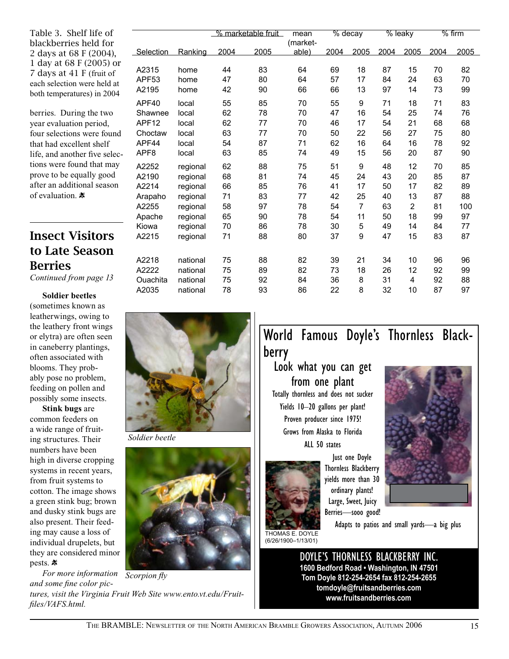Table 3. Shelf life of blackberries held for 2 days at 68 F (2004), 1 day at 68 F (2005) or 7 days at 41 F (fruit of each selection were held at both temperatures) in 2004

berries. During the two year evaluation period, four selections were found that had excellent shelf life, and another five selections were found that may prove to be equally good after an additional season of evaluation.

### Insect Visitors to Late Season Berries

*Continued from page 13*

#### **Soldier beetles**

(sometimes known as leatherwings, owing to the leathery front wings or elytra) are often seen in caneberry plantings, often associated with blooms. They probably pose no problem, feeding on pollen and possibly some insects.

**Stink bugs** are common feeders on a wide range of fruiting structures. Their numbers have been high in diverse cropping systems in recent years, from fruit systems to cotton. The image shows a green stink bug; brown and dusky stink bugs are also present. Their feeding may cause a loss of individual drupelets, but they are considered minor pests. 素

*For more information Scorpion fly and some fine color pictures, visit the Virginia Fruit Web Site www.ento.vt.edu/Fruitfiles/VAFS.html.*

*Soldier beetle*

|                   |          | % marketable fruit |      | mean<br>(market- | % decay |                | % leaky |      |      | $%$ firm |
|-------------------|----------|--------------------|------|------------------|---------|----------------|---------|------|------|----------|
| Selection         | Ranking  | 2004               | 2005 | able)            | 2004    | 2005           | 2004    | 2005 | 2004 | 2005     |
| A2315             | home     | 44                 | 83   | 64               | 69      | 18             | 87      | 15   | 70   | 82       |
| APF <sub>53</sub> | home     | 47                 | 80   | 64               | 57      | 17             | 84      | 24   | 63   | 70       |
| A2195             | home     | 42                 | 90   | 66               | 66      | 13             | 97      | 14   | 73   | 99       |
| APF40             | local    | 55                 | 85   | 70               | 55      | 9              | 71      | 18   | 71   | 83       |
| Shawnee           | local    | 62                 | 78   | 70               | 47      | 16             | 54      | 25   | 74   | 76       |
| APF <sub>12</sub> | local    | 62                 | 77   | 70               | 46      | 17             | 54      | 21   | 68   | 68       |
| Choctaw           | local    | 63                 | 77   | 70               | 50      | 22             | 56      | 27   | 75   | 80       |
| APF44             | local    | 54                 | 87   | 71               | 62      | 16             | 64      | 16   | 78   | 92       |
| APF <sub>8</sub>  | local    | 63                 | 85   | 74               | 49      | 15             | 56      | 20   | 87   | 90       |
| A2252             | regional | 62                 | 88   | 75               | 51      | 9              | 48      | 12   | 70   | 85       |
| A2190             | regional | 68                 | 81   | 74               | 45      | 24             | 43      | 20   | 85   | 87       |
| A2214             | regional | 66                 | 85   | 76               | 41      | 17             | 50      | 17   | 82   | 89       |
| Arapaho           | regional | 71                 | 83   | 77               | 42      | 25             | 40      | 13   | 87   | 88       |
| A2255             | regional | 58                 | 97   | 78               | 54      | $\overline{7}$ | 63      | 2    | 81   | 100      |
| Apache            | regional | 65                 | 90   | 78               | 54      | 11             | 50      | 18   | 99   | 97       |
| Kiowa             | regional | 70                 | 86   | 78               | 30      | 5              | 49      | 14   | 84   | 77       |
| A2215             | regional | 71                 | 88   | 80               | 37      | 9              | 47      | 15   | 83   | 87       |
| A2218             | national | 75                 | 88   | 82               | 39      | 21             | 34      | 10   | 96   | 96       |
| A2222             | national | 75                 | 89   | 82               | 73      | 18             | 26      | 12   | 92   | 99       |
| Ouachita          | national | 75                 | 92   | 84               | 36      | 8              | 31      | 4    | 92   | 88       |
| A2035             | national | 78                 | 93   | 86               | 22      | 8              | 32      | 10   | 87   | 97       |

### World Famous Doyle's Thornless Blackberry

Look what you can get from one plant Totally thornless and does not sucker Yields 10–20 gallons per plant! Proven producer since 1975! Grows from Alaska to Florida ALL 50 states



Just one Doyle Thornless Blackberry yields more than 30 ordinary plants! Large, Sweet, Juicy Berries—sooo good!



THOMAS E. DOYLE (6/26/1900–1/13/01)

Adapts to patios and small yards—a big plus

DOYLE'S THORNLESS BLACKBERRY INC. **1600 Bedford Road • Washington, IN 47501 Tom Doyle 812-254-2654 fax 812-254-2655 tomdoyle@fruitsandberries.com www.fruitsandberries.com**